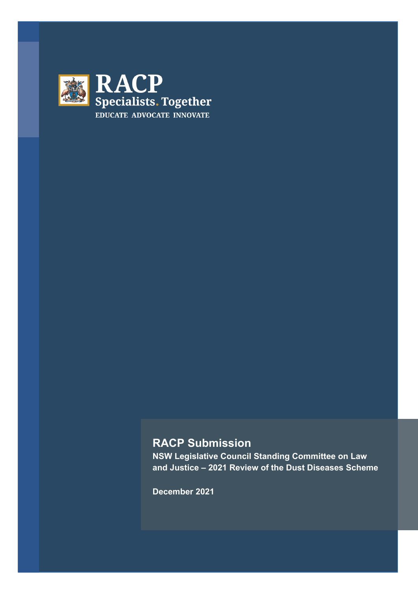

# **RACP Submission**

**NSW Legislative Council Standing Committee on Law and Justice – 2021 Review of the Dust Diseases Scheme**

**December 2021**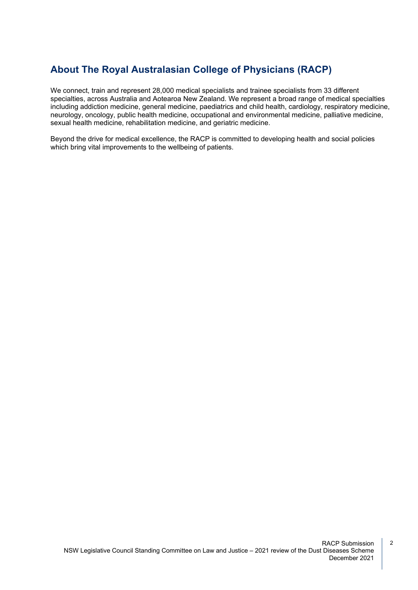# **About The Royal Australasian College of Physicians (RACP)**

We connect, train and represent 28,000 medical specialists and trainee specialists from 33 different specialties, across Australia and Aotearoa New Zealand. We represent a broad range of medical specialties including addiction medicine, general medicine, paediatrics and child health, cardiology, respiratory medicine, neurology, oncology, public health medicine, occupational and environmental medicine, palliative medicine, sexual health medicine, rehabilitation medicine, and geriatric medicine.

Beyond the drive for medical excellence, the RACP is committed to developing health and social policies which bring vital improvements to the wellbeing of patients.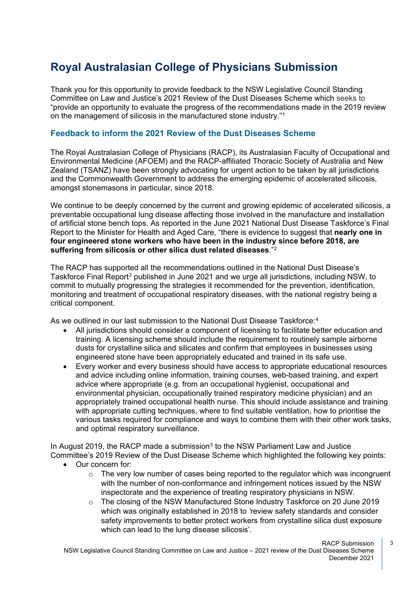# **Royal Australasian College of Physicians Submission**

Thank you for this opportunity to provide feedback to the NSW Legislative Council Standing Committee on Law and Justice's 2021 Review of the Dust Diseases Scheme which seeks to "provide an opportunity to evaluate the progress of the recommendations made in the 2019 review on the management of silicosis in the manufactured stone industry."[1](#page-14-0)

## **Feedback to inform the 2021 Review of the Dust Diseases Scheme**

The Royal Australasian College of Physicians (RACP), its Australasian Faculty of Occupational and Environmental Medicine (AFOEM) and the RACP-affiliated Thoracic Society of Australia and New Zealand (TSANZ) have been strongly advocating for urgent action to be taken by all jurisdictions and the Commonwealth Government to address the emerging epidemic of accelerated silicosis, amongst stonemasons in particular, since 2018.

We continue to be deeply concerned by the current and growing epidemic of accelerated silicosis, a preventable occupational lung disease affecting those involved in the manufacture and installation of artificial stone bench tops. As reported in the June 2021 National Dust Disease Taskforce's Final Report to the Minister for Health and Aged Care, "there is evidence to suggest that **nearly one in four engineered stone workers who have been in the industry since before 2018, are suffering from silicosis or other silica dust related diseases**."[2](#page-14-1)

The RACP has supported all the recommendations outlined in the National Dust Disease's Taskforce Final Report<sup>[3](#page-14-2)</sup> published in June 2021 and we urge all jurisdictions, including NSW, to commit to mutually progressing the strategies it recommended for the prevention, identification, monitoring and treatment of occupational respiratory diseases, with the national registry being a critical component.

As we outlined in our last submission to the National Dust Disease Taskforce:<sup>[4](#page-14-3)</sup>

- All jurisdictions should consider a component of licensing to facilitate better education and training. A licensing scheme should include the requirement to routinely sample airborne dusts for crystalline silica and silicates and confirm that employees in businesses using engineered stone have been appropriately educated and trained in its safe use.
- Every worker and every business should have access to appropriate educational resources and advice including online information, training courses, web-based training, and expert advice where appropriate (e.g. from an occupational hygienist, occupational and environmental physician, occupationally trained respiratory medicine physician) and an appropriately trained occupational health nurse. This should include assistance and training with appropriate cutting techniques, where to find suitable ventilation, how to prioritise the various tasks required for compliance and ways to combine them with their other work tasks, and optimal respiratory surveillance.

In August 2019, the RACP made a submission<sup>[5](#page-14-4)</sup> to the NSW Parliament Law and Justice Committee's 2019 Review of the Dust Disease Scheme which highlighted the following key points:

- Our concern for:
	- $\circ$  The very low number of cases being reported to the regulator which was incongruent with the number of non-conformance and infringement notices issued by the NSW inspectorate and the experience of treating respiratory physicians in NSW.
	- o The closing of the NSW Manufactured Stone Industry Taskforce on 20 June 2019 which was originally established in 2018 to *'*review safety standards and consider safety improvements to better protect workers from crystalline silica dust exposure which can lead to the lung disease silicosis'.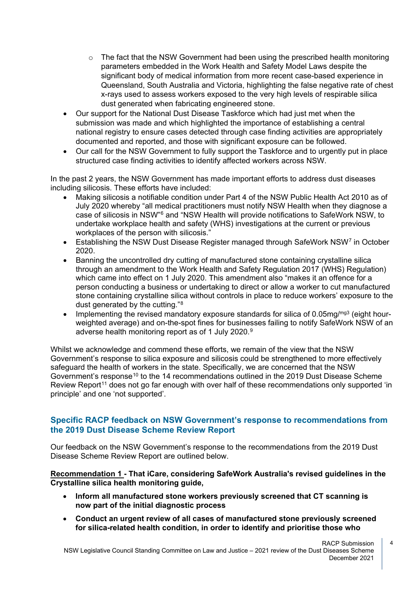- $\circ$  The fact that the NSW Government had been using the prescribed health monitoring parameters embedded in the Work Health and Safety Model Laws despite the significant body of medical information from more recent case-based experience in Queensland, South Australia and Victoria, highlighting the false negative rate of chest x-rays used to assess workers exposed to the very high levels of respirable silica dust generated when fabricating engineered stone.
- Our support for the National Dust Disease Taskforce which had just met when the submission was made and which highlighted the importance of establishing a central national registry to ensure cases detected through case finding activities are appropriately documented and reported, and those with significant exposure can be followed.
- Our call for the NSW Government to fully support the Taskforce and to urgently put in place structured case finding activities to identify affected workers across NSW.

In the past 2 years, the NSW Government has made important efforts to address dust diseases including silicosis. These efforts have included:

- Making silicosis a notifiable condition under Part 4 of the NSW Public Health Act 2010 as of July 2020 whereby "all medical practitioners must notify NSW Health when they diagnose a case of silicosis in NSW"[6](#page-14-5) and "NSW Health will provide notifications to SafeWork NSW, to undertake workplace health and safety (WHS) investigations at the current or previous workplaces of the person with silicosis."
- Establishing the NSW Dust Disease Register managed through SafeWork NSW<sup>[7](#page-14-6)</sup> in October 2020.
- Banning the uncontrolled dry cutting of manufactured stone containing crystalline silica through an amendment to the Work Health and Safety Regulation 2017 (WHS) Regulation) which came into effect on 1 July 2020. This amendment also "makes it an offence for a person conducting a business or undertaking to direct or allow a worker to cut manufactured stone containing crystalline silica without controls in place to reduce workers' exposure to the dust generated by the cutting."[8](#page-14-7)
- Implementing the revised mandatory exposure standards for silica of 0.05mg/ $mg3$  (eight hourweighted average) and on-the-spot fines for businesses failing to notify SafeWork NSW of an adverse health monitoring report as of 1 July 2020.[9](#page-14-8)

Whilst we acknowledge and commend these efforts, we remain of the view that the NSW Government's response to silica exposure and silicosis could be strengthened to more effectively safeguard the health of workers in the state. Specifically, we are concerned that the NSW Government's response<sup>[10](#page-14-9)</sup> to the 14 recommendations outlined in the 2019 Dust Disease Scheme Review Report<sup>[11](#page-14-10)</sup> does not go far enough with over half of these recommendations only supported 'in principle' and one 'not supported'.

## **Specific RACP feedback on NSW Government's response to recommendations from the 2019 Dust Disease Scheme Review Report**

Our feedback on the NSW Government's response to the recommendations from the 2019 Dust Disease Scheme Review Report are outlined below.

**Recommendation 1 - That iCare, considering SafeWork Australia's revised guidelines in the Crystalline silica health monitoring guide,**

- **Inform all manufactured stone workers previously screened that CT scanning is now part of the initial diagnostic process**
- **Conduct an urgent review of all cases of manufactured stone previously screened for silica-related health condition, in order to identify and prioritise those who**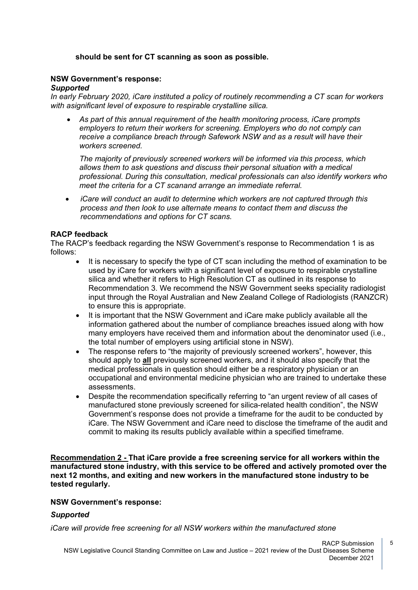## **should be sent for CT scanning as soon as possible.**

#### **NSW Government's response:**

#### *Supported*

*In early February 2020, iCare instituted a policy of routinely recommending a CT scan for workers with asignificant level of exposure to respirable crystalline silica.*

• *As part of this annual requirement of the health monitoring process, iCare prompts employers to return their workers for screening. Employers who do not comply can receive a compliance breach through Safework NSW and as a result will have their workers screened.*

*The majority of previously screened workers will be informed via this process, which allows them to ask questions and discuss their personal situation with a medical professional. During this consultation, medical professionals can also identify workers who meet the criteria for a CT scanand arrange an immediate referral.*

• *iCare will conduct an audit to determine which workers are not captured through this process and then look to use alternate means to contact them and discuss the recommendations and options for CT scans.*

## **RACP feedback**

The RACP's feedback regarding the NSW Government's response to Recommendation 1 is as follows:

- It is necessary to specify the type of CT scan including the method of examination to be used by iCare for workers with a significant level of exposure to respirable crystalline silica and whether it refers to High Resolution CT as outlined in its response to Recommendation 3. We recommend the NSW Government seeks speciality radiologist input through the Royal Australian and New Zealand College of Radiologists (RANZCR) to ensure this is appropriate.
- It is important that the NSW Government and iCare make publicly available all the information gathered about the number of compliance breaches issued along with how many employers have received them and information about the denominator used (i.e., the total number of employers using artificial stone in NSW).
- The response refers to "the majority of previously screened workers", however, this should apply to **all** previously screened workers, and it should also specify that the medical professionals in question should either be a respiratory physician or an occupational and environmental medicine physician who are trained to undertake these assessments.
- Despite the recommendation specifically referring to "an urgent review of all cases of manufactured stone previously screened for silica-related health condition", the NSW Government's response does not provide a timeframe for the audit to be conducted by iCare. The NSW Government and iCare need to disclose the timeframe of the audit and commit to making its results publicly available within a specified timeframe.

**Recommendation 2 - That iCare provide a free screening service for all workers within the manufactured stone industry, with this service to be offered and actively promoted over the next 12 months, and exiting and new workers in the manufactured stone industry to be tested regularly.**

#### **NSW Government's response:**

## *Supported*

*iCare will provide free screening for all NSW workers within the manufactured stone*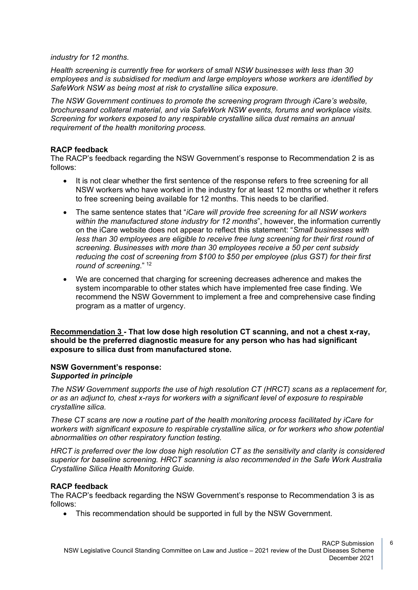#### *industry for 12 months.*

*Health screening is currently free for workers of small NSW businesses with less than 30 employees and is subsidised for medium and large employers whose workers are identified by SafeWork NSW as being most at risk to crystalline silica exposure.*

*The NSW Government continues to promote the screening program through iCare's website, brochuresand collateral material, and via SafeWork NSW events, forums and workplace visits. Screening for workers exposed to any respirable crystalline silica dust remains an annual requirement of the health monitoring process.*

#### **RACP feedback**

The RACP's feedback regarding the NSW Government's response to Recommendation 2 is as follows:

- It is not clear whether the first sentence of the response refers to free screening for all NSW workers who have worked in the industry for at least 12 months or whether it refers to free screening being available for 12 months. This needs to be clarified.
- The same sentence states that "*iCare will provide free screening for all NSW workers within the manufactured stone industry for 12 months*", however, the information currently on the iCare website does not appear to reflect this statement: "*Small businesses with less than 30 employees are eligible to receive free lung screening for their first round of screening. Businesses with more than 30 employees receive a 50 per cent subsidy reducing the cost of screening from \$100 to \$50 per employee (plus GST) for their first round of screening*." [12](#page-14-11)
- We are concerned that charging for screening decreases adherence and makes the system incomparable to other states which have implemented free case finding. We recommend the NSW Government to implement a free and comprehensive case finding program as a matter of urgency.

**Recommendation 3** *-* **That low dose high resolution CT scanning, and not a chest x-ray, should be the preferred diagnostic measure for any person who has had significant exposure to silica dust from manufactured stone.**

#### **NSW Government's response:** *Supported in principle*

*The NSW Government supports the use of high resolution CT (HRCT) scans as a replacement for, or as an adjunct to, chest x-rays for workers with a significant level of exposure to respirable crystalline silica.*

*These CT scans are now a routine part of the health monitoring process facilitated by iCare for workers with significant exposure to respirable crystalline silica, or for workers who show potential abnormalities on other respiratory function testing.*

*HRCT is preferred over the low dose high resolution CT as the sensitivity and clarity is considered superior for baseline screening. HRCT scanning is also recommended in the Safe Work Australia Crystalline Silica Health Monitoring Guide.*

## **RACP feedback**

The RACP's feedback regarding the NSW Government's response to Recommendation 3 is as follows:

• This recommendation should be supported in full by the NSW Government.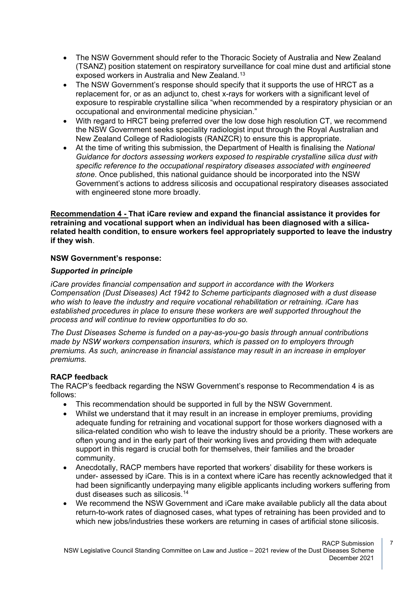- The NSW Government should refer to the Thoracic Society of Australia and New Zealand (TSANZ) position statement on respiratory surveillance for coal mine dust and artificial stone exposed workers in Australia and New Zealand.[13](#page-14-12)
- The NSW Government's response should specify that it supports the use of HRCT as a replacement for, or as an adjunct to, chest x-rays for workers with a significant level of exposure to respirable crystalline silica "when recommended by a respiratory physician or an occupational and environmental medicine physician."
- With regard to HRCT being preferred over the low dose high resolution CT, we recommend the NSW Government seeks speciality radiologist input through the Royal Australian and New Zealand College of Radiologists (RANZCR) to ensure this is appropriate.
- At the time of writing this submission, the Department of Health is finalising the *National Guidance for doctors assessing workers exposed to respirable crystalline silica dust with specific reference to the occupational respiratory diseases associated with engineered stone*. Once published, this national guidance should be incorporated into the NSW Government's actions to address silicosis and occupational respiratory diseases associated with engineered stone more broadly.

**Recommendation 4 - That iCare review and expand the financial assistance it provides for retraining and vocational support when an individual has been diagnosed with a silicarelated health condition, to ensure workers feel appropriately supported to leave the industry if they wish**.

## **NSW Government's response:**

## *Supported in principle*

*iCare provides financial compensation and support in accordance with the Workers Compensation (Dust Diseases) Act 1942 to Scheme participants diagnosed with a dust disease who wish to leave the industry and require vocational rehabilitation or retraining. iCare has established procedures in place to ensure these workers are well supported throughout the process and will continue to review opportunities to do so.*

*The Dust Diseases Scheme is funded on a pay-as-you-go basis through annual contributions made by NSW workers compensation insurers, which is passed on to employers through premiums. As such, anincrease in financial assistance may result in an increase in employer premiums.*

## **RACP feedback**

The RACP's feedback regarding the NSW Government's response to Recommendation 4 is as follows:

- This recommendation should be supported in full by the NSW Government.
- Whilst we understand that it may result in an increase in employer premiums, providing adequate funding for retraining and vocational support for those workers diagnosed with a silica-related condition who wish to leave the industry should be a priority. These workers are often young and in the early part of their working lives and providing them with adequate support in this regard is crucial both for themselves, their families and the broader community.
- Anecdotally, RACP members have reported that workers' disability for these workers is under- assessed by iCare. This is in a context where iCare has recently acknowledged that it had been significantly underpaying many eligible applicants including workers suffering from dust diseases such as silicosis.<sup>[14](#page-14-13)</sup>
- We recommend the NSW Government and iCare make available publicly all the data about return-to-work rates of diagnosed cases, what types of retraining has been provided and to which new jobs/industries these workers are returning in cases of artificial stone silicosis.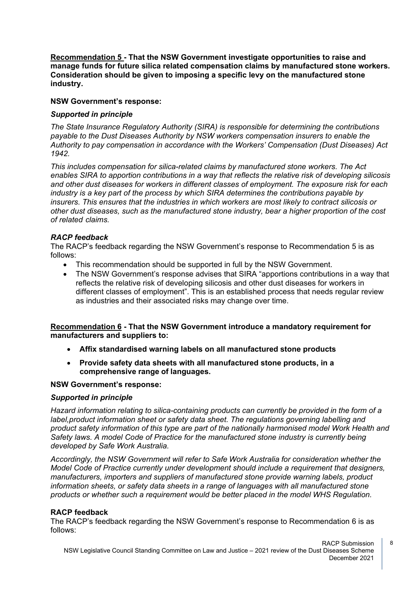**Recommendation 5 - That the NSW Government investigate opportunities to raise and manage funds for future silica related compensation claims by manufactured stone workers. Consideration should be given to imposing a specific levy on the manufactured stone industry.**

#### **NSW Government's response:**

#### *Supported in principle*

*The State Insurance Regulatory Authority (SIRA) is responsible for determining the contributions payable to the Dust Diseases Authority by NSW workers compensation insurers to enable the Authority to pay compensation in accordance with the Workers' Compensation (Dust Diseases) Act 1942.*

*This includes compensation for silica-related claims by manufactured stone workers. The Act enables SIRA to apportion contributions in a way that reflects the relative risk of developing silicosis and other dust diseases for workers in different classes of employment. The exposure risk for each industry is a key part of the process by which SIRA determines the contributions payable by insurers. This ensures that the industries in which workers are most likely to contract silicosis or other dust diseases, such as the manufactured stone industry, bear a higher proportion of the cost of related claims.*

#### *RACP feedback*

The RACP's feedback regarding the NSW Government's response to Recommendation 5 is as follows:

- This recommendation should be supported in full by the NSW Government.
- The NSW Government's response advises that SIRA "apportions contributions in a way that reflects the relative risk of developing silicosis and other dust diseases for workers in different classes of employment". This is an established process that needs regular review as industries and their associated risks may change over time.

## **Recommendation 6 - That the NSW Government introduce a mandatory requirement for manufacturers and suppliers to:**

- **Affix standardised warning labels on all manufactured stone products**
- **Provide safety data sheets with all manufactured stone products, in a comprehensive range of languages.**

#### **NSW Government's response:**

#### *Supported in principle*

*Hazard information relating to silica-containing products can currently be provided in the form of a label,product information sheet or safety data sheet. The regulations governing labelling and product safety information of this type are part of the nationally harmonised model Work Health and Safety laws. A model Code of Practice for the manufactured stone industry is currently being developed by Safe Work Australia.*

*Accordingly, the NSW Government will refer to Safe Work Australia for consideration whether the Model Code of Practice currently under development should include a requirement that designers, manufacturers, importers and suppliers of manufactured stone provide warning labels, product information sheets, or safety data sheets in a range of languages with all manufactured stone products or whether such a requirement would be better placed in the model WHS Regulation.*

## **RACP feedback**

The RACP's feedback regarding the NSW Government's response to Recommendation 6 is as follows: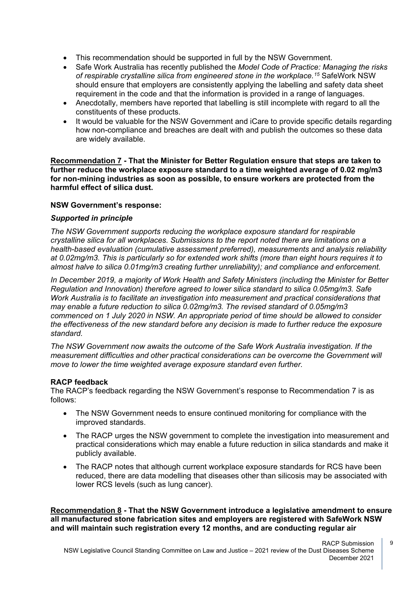- This recommendation should be supported in full by the NSW Government.
- Safe Work Australia has recently published the *Model Code of Practice: Managing the risks of respirable crystalline silica from engineered stone in the workplace.[15](#page-14-14)* SafeWork NSW should ensure that employers are consistently applying the labelling and safety data sheet requirement in the code and that the information is provided in a range of languages.
- Anecdotally, members have reported that labelling is still incomplete with regard to all the constituents of these products.
- It would be valuable for the NSW Government and iCare to provide specific details regarding how non-compliance and breaches are dealt with and publish the outcomes so these data are widely available.

**Recommendation 7 - That the Minister for Better Regulation ensure that steps are taken to further reduce the workplace exposure standard to a time weighted average of 0.02 mg/m3 for non-mining industries as soon as possible, to ensure workers are protected from the harmful effect of silica dust.**

## **NSW Government's response:**

#### *Supported in principle*

*The NSW Government supports reducing the workplace exposure standard for respirable crystalline silica for all workplaces. Submissions to the report noted there are limitations on a health-based evaluation (cumulative assessment preferred), measurements and analysis reliability at 0.02mg/m3. This is particularly so for extended work shifts (more than eight hours requires it to almost halve to silica 0.01mg/m3 creating further unreliability); and compliance and enforcement.*

*In December 2019, a majority of Work Health and Safety Ministers (including the Minister for Better Regulation and Innovation) therefore agreed to lower silica standard to silica 0.05mg/m3. Safe Work Australia is to facilitate an investigation into measurement and practical considerations that may enable a future reduction to silica 0.02mg/m3. The revised standard of 0.05mg/m3 commenced on 1 July 2020 in NSW. An appropriate period of time should be allowed to consider the effectiveness of the new standard before any decision is made to further reduce the exposure standard.*

*The NSW Government now awaits the outcome of the Safe Work Australia investigation. If the measurement difficulties and other practical considerations can be overcome the Government will move to lower the time weighted average exposure standard even further.*

#### **RACP feedback**

The RACP's feedback regarding the NSW Government's response to Recommendation 7 is as follows:

- The NSW Government needs to ensure continued monitoring for compliance with the improved standards.
- The RACP urges the NSW government to complete the investigation into measurement and practical considerations which may enable a future reduction in silica standards and make it publicly available.
- The RACP notes that although current workplace exposure standards for RCS have been reduced, there are data modelling that diseases other than silicosis may be associated with lower RCS levels (such as lung cancer).

**Recommendation 8 - That the NSW Government introduce a legislative amendment to ensure all manufactured stone fabrication sites and employers are registered with SafeWork NSW and will maintain such registration every 12 months, and are conducting regular air**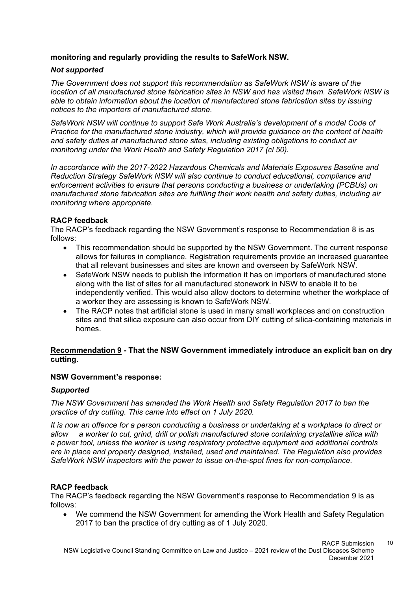## **monitoring and regularly providing the results to SafeWork NSW.**

## *Not supported*

*The Government does not support this recommendation as SafeWork NSW is aware of the location of all manufactured stone fabrication sites in NSW and has visited them. SafeWork NSW is able to obtain information about the location of manufactured stone fabrication sites by issuing notices to the importers of manufactured stone.*

*SafeWork NSW will continue to support Safe Work Australia's development of a model Code of Practice for the manufactured stone industry, which will provide guidance on the content of health and safety duties at manufactured stone sites, including existing obligations to conduct air monitoring under the Work Health and Safety Regulation 2017 (cl 50).*

*In accordance with the 2017-2022 Hazardous Chemicals and Materials Exposures Baseline and Reduction Strategy SafeWork NSW will also continue to conduct educational, compliance and enforcement activities to ensure that persons conducting a business or undertaking (PCBUs) on manufactured stone fabrication sites are fulfilling their work health and safety duties, including air monitoring where appropriate.*

## **RACP feedback**

The RACP's feedback regarding the NSW Government's response to Recommendation 8 is as follows:

- This recommendation should be supported by the NSW Government. The current response allows for failures in compliance. Registration requirements provide an increased guarantee that all relevant businesses and sites are known and overseen by SafeWork NSW.
- SafeWork NSW needs to publish the information it has on importers of manufactured stone along with the list of sites for all manufactured stonework in NSW to enable it to be independently verified. This would also allow doctors to determine whether the workplace of a worker they are assessing is known to SafeWork NSW.
- The RACP notes that artificial stone is used in many small workplaces and on construction sites and that silica exposure can also occur from DIY cutting of silica-containing materials in homes.

## **Recommendation 9 - That the NSW Government immediately introduce an explicit ban on dry cutting.**

## **NSW Government's response:**

## *Supported*

*The NSW Government has amended the Work Health and Safety Regulation 2017 to ban the practice of dry cutting. This came into effect on 1 July 2020.*

*It is now an offence for a person conducting a business or undertaking at a workplace to direct or allow a worker to cut, grind, drill or polish manufactured stone containing crystalline silica with a power tool, unless the worker is using respiratory protective equipment and additional controls are in place and properly designed, installed, used and maintained. The Regulation also provides SafeWork NSW inspectors with the power to issue on-the-spot fines for non-compliance.*

## **RACP feedback**

The RACP's feedback regarding the NSW Government's response to Recommendation 9 is as follows:

• We commend the NSW Government for amending the Work Health and Safety Regulation 2017 to ban the practice of dry cutting as of 1 July 2020.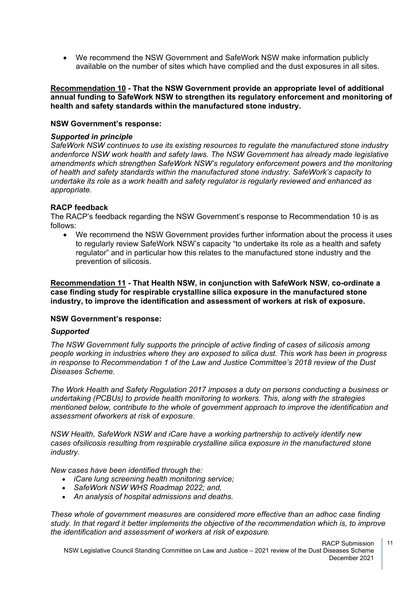• We recommend the NSW Government and SafeWork NSW make information publicly available on the number of sites which have complied and the dust exposures in all sites.

**Recommendation 10 - That the NSW Government provide an appropriate level of additional annual funding to SafeWork NSW to strengthen its regulatory enforcement and monitoring of health and safety standards within the manufactured stone industry.**

#### **NSW Government's response:**

#### *Supported in principle*

*SafeWork NSW continues to use its existing resources to regulate the manufactured stone industry andenforce NSW work health and safety laws. The NSW Government has already made legislative amendments which strengthen SafeWork NSW's regulatory enforcement powers and the monitoring of health and safety standards within the manufactured stone industry. SafeWork's capacity to undertake its role as a work health and safety regulator is regularly reviewed and enhanced as appropriate.*

#### **RACP feedback**

The RACP's feedback regarding the NSW Government's response to Recommendation 10 is as follows:

• We recommend the NSW Government provides further information about the process it uses to regularly review SafeWork NSW's capacity "to undertake its role as a health and safety regulator" and in particular how this relates to the manufactured stone industry and the prevention of silicosis.

**Recommendation 11 - That Health NSW, in conjunction with SafeWork NSW, co-ordinate a case finding study for respirable crystalline silica exposure in the manufactured stone industry, to improve the identification and assessment of workers at risk of exposure.**

#### **NSW Government's response:**

#### *Supported*

*The NSW Government fully supports the principle of active finding of cases of silicosis among people working in industries where they are exposed to silica dust. This work has been in progress in response to Recommendation 1 of the Law and Justice Committee's 2018 review of the Dust Diseases Scheme.*

*The Work Health and Safety Regulation 2017 imposes a duty on persons conducting a business or undertaking (PCBUs) to provide health monitoring to workers. This, along with the strategies mentioned below, contribute to the whole of government approach to improve the identification and assessment ofworkers at risk of exposure.*

*NSW Health, SafeWork NSW and iCare have a working partnership to actively identify new cases ofsilicosis resulting from respirable crystalline silica exposure in the manufactured stone industry.*

*New cases have been identified through the:*

- *iCare lung screening health monitoring service;*
- *SafeWork NSW WHS Roadmap 2022; and,*
- *An analysis of hospital admissions and deaths.*

*These whole of government measures are considered more effective than an adhoc case finding study. In that regard it better implements the objective of the recommendation which is, to improve the identification and assessment of workers at risk of exposure.*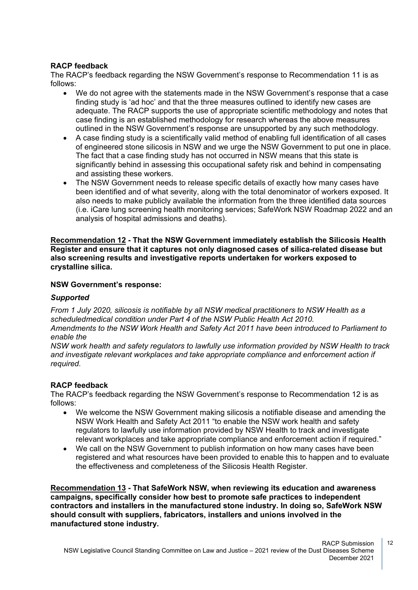## **RACP feedback**

The RACP's feedback regarding the NSW Government's response to Recommendation 11 is as follows:

- We do not agree with the statements made in the NSW Government's response that a case finding study is 'ad hoc' and that the three measures outlined to identify new cases are adequate. The RACP supports the use of appropriate scientific methodology and notes that case finding is an established methodology for research whereas the above measures outlined in the NSW Government's response are unsupported by any such methodology.
- A case finding study is a scientifically valid method of enabling full identification of all cases of engineered stone silicosis in NSW and we urge the NSW Government to put one in place. The fact that a case finding study has not occurred in NSW means that this state is significantly behind in assessing this occupational safety risk and behind in compensating and assisting these workers.
- The NSW Government needs to release specific details of exactly how many cases have been identified and of what severity, along with the total denominator of workers exposed. It also needs to make publicly available the information from the three identified data sources (i.e. iCare lung screening health monitoring services; SafeWork NSW Roadmap 2022 and an analysis of hospital admissions and deaths).

**Recommendation 12 - That the NSW Government immediately establish the Silicosis Health Register and ensure that it captures not only diagnosed cases of silica-related disease but also screening results and investigative reports undertaken for workers exposed to crystalline silica.**

## **NSW Government's response:**

## *Supported*

*From 1 July 2020, silicosis is notifiable by all NSW medical practitioners to NSW Health as a scheduledmedical condition under Part 4 of the NSW Public Health Act 2010. Amendments to the NSW Work Health and Safety Act 2011 have been introduced to Parliament to enable the*

*NSW work health and safety regulators to lawfully use information provided by NSW Health to track and investigate relevant workplaces and take appropriate compliance and enforcement action if required.*

## **RACP feedback**

The RACP's feedback regarding the NSW Government's response to Recommendation 12 is as follows:

- We welcome the NSW Government making silicosis a notifiable disease and amending the NSW Work Health and Safety Act 2011 "to enable the NSW work health and safety regulators to lawfully use information provided by NSW Health to track and investigate relevant workplaces and take appropriate compliance and enforcement action if required."
- We call on the NSW Government to publish information on how many cases have been registered and what resources have been provided to enable this to happen and to evaluate the effectiveness and completeness of the Silicosis Health Register.

**Recommendation 13 - That SafeWork NSW, when reviewing its education and awareness campaigns, specifically consider how best to promote safe practices to independent contractors and installers in the manufactured stone industry. In doing so, SafeWork NSW should consult with suppliers, fabricators, installers and unions involved in the manufactured stone industry.**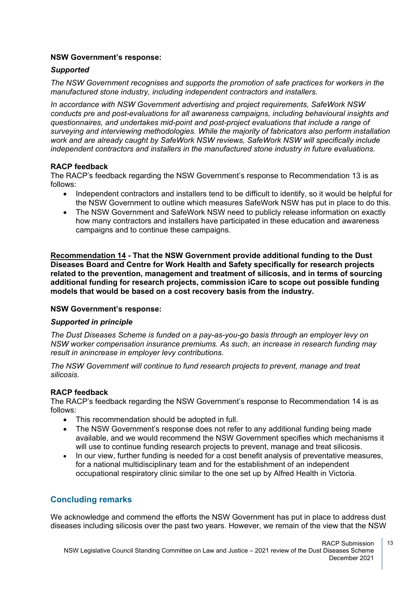## **NSW Government's response:**

## *Supported*

*The NSW Government recognises and supports the promotion of safe practices for workers in the manufactured stone industry, including independent contractors and installers.*

*In accordance with NSW Government advertising and project requirements, SafeWork NSW conducts pre and post-evaluations for all awareness campaigns, including behavioural insights and questionnaires, and undertakes mid-point and post-project evaluations that include a range of surveying and interviewing methodologies. While the majority of fabricators also perform installation work and are already caught by SafeWork NSW reviews, SafeWork NSW will specifically include independent contractors and installers in the manufactured stone industry in future evaluations.*

## **RACP feedback**

The RACP's feedback regarding the NSW Government's response to Recommendation 13 is as follows:

- Independent contractors and installers tend to be difficult to identify, so it would be helpful for the NSW Government to outline which measures SafeWork NSW has put in place to do this.
- The NSW Government and SafeWork NSW need to publicly release information on exactly how many contractors and installers have participated in these education and awareness campaigns and to continue these campaigns.

**Recommendation 14 - That the NSW Government provide additional funding to the Dust Diseases Board and Centre for Work Health and Safety specifically for research projects related to the prevention, management and treatment of silicosis, and in terms of sourcing additional funding for research projects, commission iCare to scope out possible funding models that would be based on a cost recovery basis from the industry.**

## **NSW Government's response:**

## *Supported in principle*

*The Dust Diseases Scheme is funded on a pay-as-you-go basis through an employer levy on NSW worker compensation insurance premiums. As such, an increase in research funding may result in anincrease in employer levy contributions.*

*The NSW Government will continue to fund research projects to prevent, manage and treat silicosis.*

## **RACP feedback**

The RACP's feedback regarding the NSW Government's response to Recommendation 14 is as follows:

- This recommendation should be adopted in full.
- The NSW Government's response does not refer to any additional funding being made available, and we would recommend the NSW Government specifies which mechanisms it will use to continue funding research projects to prevent, manage and treat silicosis.
- In our view, further funding is needed for a cost benefit analysis of preventative measures, for a national multidisciplinary team and for the establishment of an independent occupational respiratory clinic similar to the one set up by Alfred Health in Victoria.

## **Concluding remarks**

We acknowledge and commend the efforts the NSW Government has put in place to address dust diseases including silicosis over the past two years. However, we remain of the view that the NSW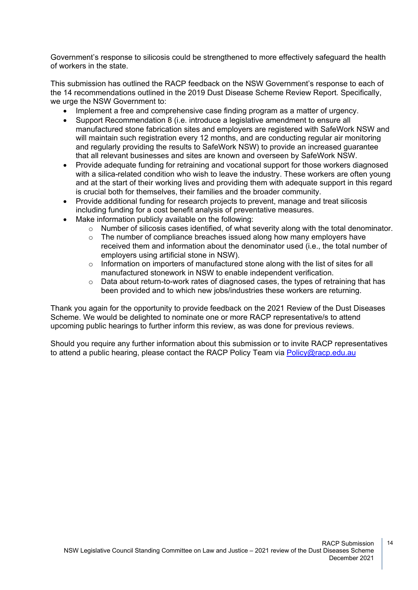Government's response to silicosis could be strengthened to more effectively safeguard the health of workers in the state.

This submission has outlined the RACP feedback on the NSW Government's response to each of the 14 recommendations outlined in the 2019 Dust Disease Scheme Review Report. Specifically, we urge the NSW Government to:

- Implement a free and comprehensive case finding program as a matter of urgency.
- Support Recommendation 8 (i.e. introduce a legislative amendment to ensure all manufactured stone fabrication sites and employers are registered with SafeWork NSW and will maintain such registration every 12 months, and are conducting regular air monitoring and regularly providing the results to SafeWork NSW) to provide an increased guarantee that all relevant businesses and sites are known and overseen by SafeWork NSW.
- Provide adequate funding for retraining and vocational support for those workers diagnosed with a silica-related condition who wish to leave the industry. These workers are often young and at the start of their working lives and providing them with adequate support in this regard is crucial both for themselves, their families and the broader community.
- Provide additional funding for research projects to prevent, manage and treat silicosis including funding for a cost benefit analysis of preventative measures.
- Make information publicly available on the following:
	- $\circ$  Number of silicosis cases identified, of what severity along with the total denominator.
	- $\circ$  The number of compliance breaches issued along how many employers have received them and information about the denominator used (i.e., the total number of employers using artificial stone in NSW).
	- o Information on importers of manufactured stone along with the list of sites for all manufactured stonework in NSW to enable independent verification.
	- o Data about return-to-work rates of diagnosed cases, the types of retraining that has been provided and to which new jobs/industries these workers are returning.

Thank you again for the opportunity to provide feedback on the 2021 Review of the Dust Diseases Scheme. We would be delighted to nominate one or more RACP representative/s to attend upcoming public hearings to further inform this review, as was done for previous reviews.

Should you require any further information about this submission or to invite RACP representatives to attend a public hearing, please contact the RACP Policy Team via [Policy@racp.edu.au](mailto:Policy@racp.edu.au)